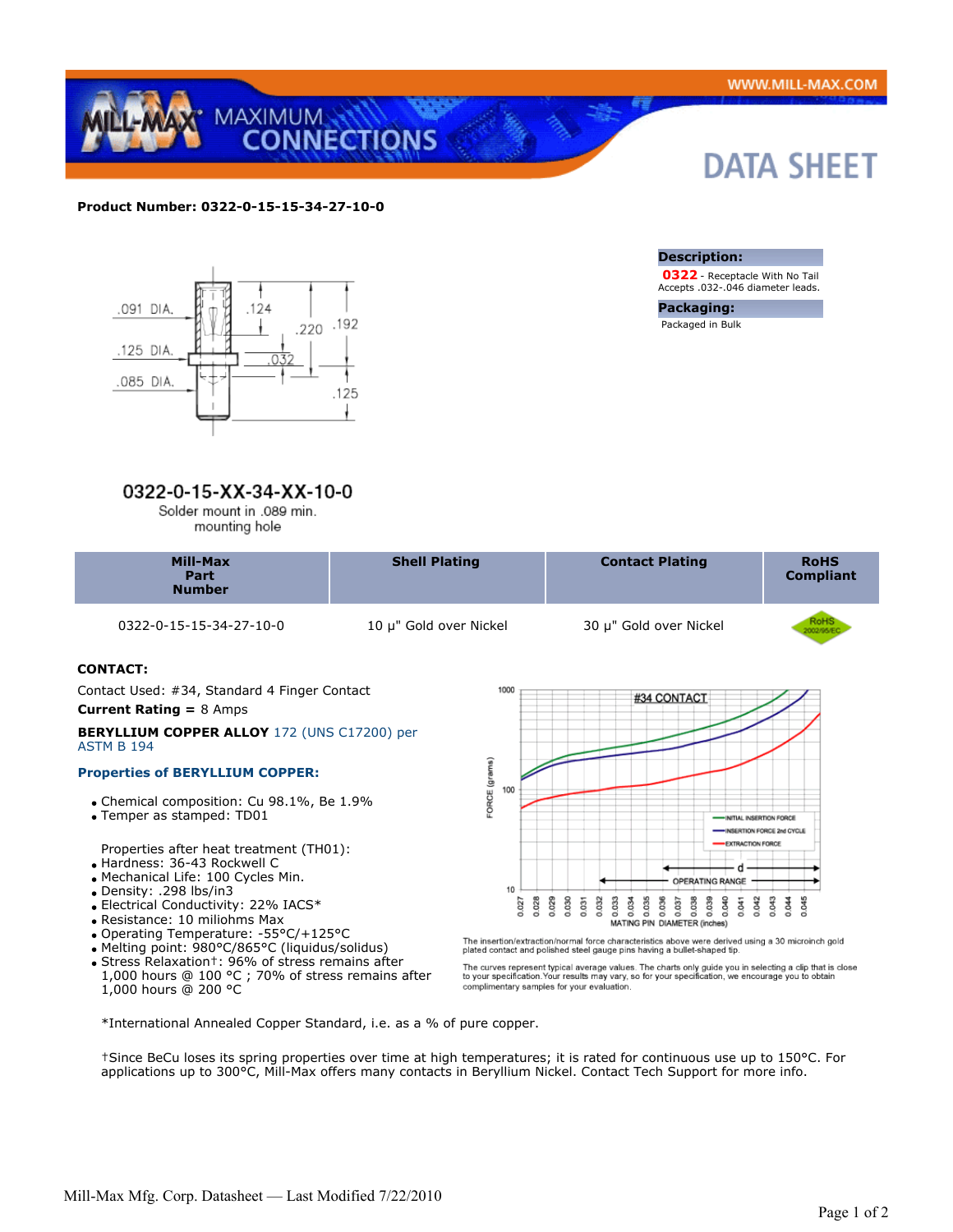

# **Product Number: 0322-0-15-15-34-27-10-0**



# 0322-0-15-XX-34-XX-10-0

Solder mount in .089 min. mounting hole

| <b>Mill-Max</b><br>Part<br><b>Number</b> | <b>Shell Plating</b> | <b>Contact Plating</b> | <b>RoHS</b><br><b>Compliant</b> |
|------------------------------------------|----------------------|------------------------|---------------------------------|
|                                          |                      |                        |                                 |

0322-0-15-15-34-27-10-0 10 μ" Gold over Nickel 30 μ" Gold over Nickel

# **CONTACT:**

 Contact Used: #34, Standard 4 Finger Contact **Current Rating =** 8 Amps

#### **BERYLLIUM COPPER ALLOY** 172 (UNS C17200) per ASTM B 194

## **Properties of BERYLLIUM COPPER:**

- Chemical composition: Cu 98.1%, Be 1.9%
- Temper as stamped: TD01

Properties after heat treatment (TH01):

- Hardness: 36-43 Rockwell C
- Mechanical Life: 100 Cycles Min.
- Density: .298 lbs/in3
- Electrical Conductivity: 22% IACS\*
- Resistance: 10 miliohms Max
- Operating Temperature: -55°C/+125°C
- Melting point: 980°C/865°C (liquidus/solidus)
- Stress Relaxation†: 96% of stress remains after 1,000 hours @ 100 °C ; 70% of stress remains after 1,000 hours @ 200 °C



The insertion/extraction/normal force characteristics above were derived using a 30 microinch gold plated contact and polished steel gauge pins having a bullet-shaped tip.

The curves represent typical average values. The charts only guide you in selecting a clip that is close<br>to your specification.Your results may vary, so for your specification, we encourage you to obtain<br>complimentary samp

\*International Annealed Copper Standard, i.e. as a % of pure copper.

†Since BeCu loses its spring properties over time at high temperatures; it is rated for continuous use up to 150°C. For applications up to 300°C, Mill-Max offers many contacts in Beryllium Nickel. Contact Tech Support for more info.



 **0322** - Receptacle With No Tail Accepts .032-.046 diameter leads.

**Packaging:** Packaged in Bulk